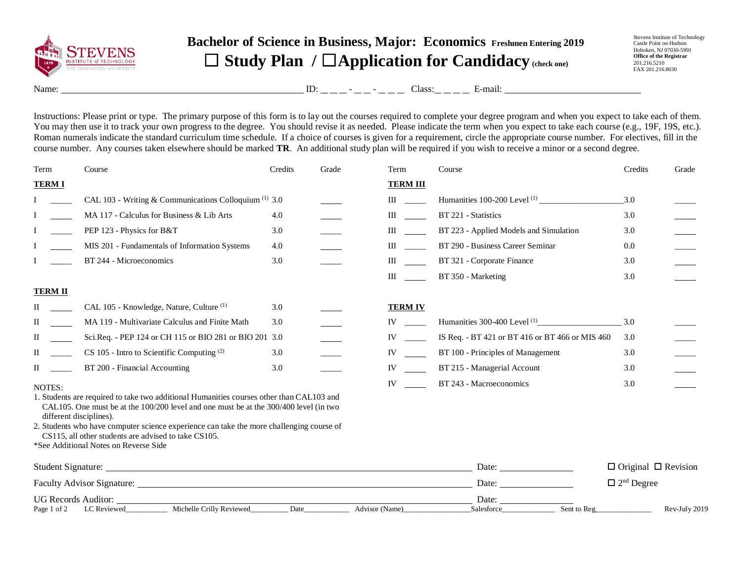

## **Bachelor of Science in Business, Major: Economics Freshmen Entering 2019** ☐ **Study Plan /** ☐**Application for Candidacy (check one)**

Stevens Institute of Technology Castle Point on Hudson Hoboken, NJ 07030-5991 **Office of the Registrar** 201.216.5210 FAX 201.216.8030

Name: ID: - - Class: E-mail:

Instructions: Please print or type. The primary purpose of this form is to lay out the courses required to complete your degree program and when you expect to take each of them. You may then use it to track your own progress to the degree. You should revise it as needed. Please indicate the term when you expect to take each course (e.g., 19F, 19S, etc.). Roman numerals indicate the standard curriculum time schedule. If a choice of courses is given for a requirement, circle the appropriate course number. For electives, fill in the course number. Any courses taken elsewhere should be marked **TR**. An additional study plan will be required if you wish to receive a minor or a second degree.

| Term                    | Course                                                                                                                                                                                                                                                                    | Credits | Grade | Term                                                                                                                                                                                                                           | Course                                                                                                                                                                                                                         | Credits                         | Grade         |
|-------------------------|---------------------------------------------------------------------------------------------------------------------------------------------------------------------------------------------------------------------------------------------------------------------------|---------|-------|--------------------------------------------------------------------------------------------------------------------------------------------------------------------------------------------------------------------------------|--------------------------------------------------------------------------------------------------------------------------------------------------------------------------------------------------------------------------------|---------------------------------|---------------|
| <b>TERMI</b>            |                                                                                                                                                                                                                                                                           |         |       | <b>TERM III</b>                                                                                                                                                                                                                |                                                                                                                                                                                                                                |                                 |               |
|                         | CAL 103 - Writing & Communications Colloquium <sup>(1)</sup> 3.0                                                                                                                                                                                                          |         |       | $\mathbf{III}$ and $\mathbf{III}$                                                                                                                                                                                              |                                                                                                                                                                                                                                | 3.0                             |               |
|                         | MA 117 - Calculus for Business & Lib Arts                                                                                                                                                                                                                                 | 4.0     |       | III                                                                                                                                                                                                                            | BT 221 - Statistics                                                                                                                                                                                                            | 3.0                             |               |
|                         | PEP 123 - Physics for B&T                                                                                                                                                                                                                                                 | 3.0     |       | III                                                                                                                                                                                                                            | BT 223 - Applied Models and Simulation                                                                                                                                                                                         | 3.0                             |               |
|                         | MIS 201 - Fundamentals of Information Systems                                                                                                                                                                                                                             | 4.0     |       | III                                                                                                                                                                                                                            | BT 290 - Business Career Seminar                                                                                                                                                                                               | 0.0                             |               |
|                         | BT 244 - Microeconomics                                                                                                                                                                                                                                                   | 3.0     |       | $\mathbf{III}$                                                                                                                                                                                                                 | BT 321 - Corporate Finance                                                                                                                                                                                                     | 3.0                             |               |
|                         |                                                                                                                                                                                                                                                                           |         |       | $\mathbf{III}$                                                                                                                                                                                                                 | BT 350 - Marketing                                                                                                                                                                                                             | 3.0                             |               |
| <b>TERM II</b>          |                                                                                                                                                                                                                                                                           |         |       |                                                                                                                                                                                                                                |                                                                                                                                                                                                                                |                                 |               |
| П                       | CAL 105 - Knowledge, Nature, Culture <sup>(1)</sup>                                                                                                                                                                                                                       | 3.0     |       | <b>TERM IV</b>                                                                                                                                                                                                                 |                                                                                                                                                                                                                                |                                 |               |
| П                       | MA 119 - Multivariate Calculus and Finite Math                                                                                                                                                                                                                            | 3.0     |       | IV and the set of the set of the set of the set of the set of the set of the set of the set of the set of the set of the set of the set of the set of the set of the set of the set of the set of the set of the set of the se |                                                                                                                                                                                                                                | 3.0                             |               |
| П                       | Sci.Req. - PEP 124 or CH 115 or BIO 281 or BIO 201 3.0                                                                                                                                                                                                                    |         |       | IV and the set of the set of the set of the set of the set of the set of the set of the set of the set of the set of the set of the set of the set of the set of the set of the set of the set of the set of the set of the se | IS Req. - BT 421 or BT 416 or BT 466 or MIS 460                                                                                                                                                                                | 3.0                             |               |
| $\Pi$                   | CS 105 - Intro to Scientific Computing (2)                                                                                                                                                                                                                                | 3.0     |       | IV and the set of the set of the set of the set of the set of the set of the set of the set of the set of the set of the set of the set of the set of the set of the set of the set of the set of the set of the set of the se | BT 100 - Principles of Management                                                                                                                                                                                              | 3.0                             |               |
| $\scriptstyle\rm II$    | BT 200 - Financial Accounting                                                                                                                                                                                                                                             | 3.0     |       | IV and the set of the set of the set of the set of the set of the set of the set of the set of the set of the set of the set of the set of the set of the set of the set of the set of the set of the set of the set of the se | BT 215 - Managerial Account                                                                                                                                                                                                    | 3.0                             |               |
| NOTES:                  |                                                                                                                                                                                                                                                                           |         |       | $IV$ and $IV$                                                                                                                                                                                                                  | BT 243 - Macroeconomics                                                                                                                                                                                                        | 3.0                             |               |
| different disciplines). | 1. Students are required to take two additional Humanities courses other than CAL103 and<br>CAL105. One must be at the $100/200$ level and one must be at the $300/400$ level (in two                                                                                     |         |       |                                                                                                                                                                                                                                |                                                                                                                                                                                                                                |                                 |               |
|                         | 2. Students who have computer science experience can take the more challenging course of<br>CS115, all other students are advised to take CS105.                                                                                                                          |         |       |                                                                                                                                                                                                                                |                                                                                                                                                                                                                                |                                 |               |
|                         | *See Additional Notes on Reverse Side                                                                                                                                                                                                                                     |         |       |                                                                                                                                                                                                                                |                                                                                                                                                                                                                                |                                 |               |
| Student Signature:      |                                                                                                                                                                                                                                                                           |         |       |                                                                                                                                                                                                                                | Date:                                                                                                                                                                                                                          | $\Box$ Original $\Box$ Revision |               |
|                         |                                                                                                                                                                                                                                                                           |         |       |                                                                                                                                                                                                                                | Date: the contract of the contract of the contract of the contract of the contract of the contract of the contract of the contract of the contract of the contract of the contract of the contract of the contract of the cont | $\Box$ 2 <sup>nd</sup> Degree   |               |
| Page 1 of 2             | UG Records Auditor: University of the Contract of the Contract of the Contract of the Contract of the Contract of the Contract of the Contract of the Contract of the Contract of the Contract of the Contract of the Contract<br>Michelle Crilly Reviewed<br>LC Reviewed | Date    |       | Advisor (Name)                                                                                                                                                                                                                 | Date: $\frac{1}{\sqrt{1-\frac{1}{2}} \cdot \frac{1}{2}}$<br>Sent to Reg<br>Salesforce                                                                                                                                          |                                 | Rev-July 2019 |